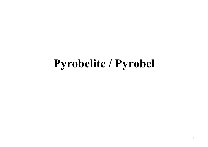## **Pyrobelite / Pyrobel**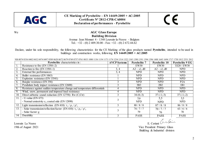

# CE

#### We **AGC Glass Europe Building Division**  Avenue Jean Monnet 4 - 1348 Louvain-la-Neuve - Belgium Tel.:  $+32 - (0) 2 409.30.00 - Fax$ :  $+32 - (0) 2 672.44.62$

Declare, under his sole responsibility, the following characteristics for the CE Marking of the glass products named **Pyrobelite**, intended to be used in buildings and construction works, following **EN 14449:2005 + AC:2005** 

|                   | ND W/4 V330 V4VZ V43Z V474 V497 V389 V0ZV V07Z V079 V749 V737 V701 V833 TV8V T139 T134 T173 T174 T234 T314 T3ZZ T343 T39V T39T T394 T390 T488 T043 T094 T7T7 T73V T8TZ Z33T Z8TZ |                     |                     |                      |                        |  |  |  |
|-------------------|----------------------------------------------------------------------------------------------------------------------------------------------------------------------------------|---------------------|---------------------|----------------------|------------------------|--|--|--|
|                   | <b>Pyrobelite</b> characteristics in:                                                                                                                                            | <b>AVCP</b> Systems | <b>Pyrobelite 7</b> | <b>Pyrobelite 10</b> | <b>Pyrobelite 9 EG</b> |  |  |  |
|                   | Resistance to fire (EN 13501-2)                                                                                                                                                  |                     | <b>EW30</b>         | EW30                 | EI20 / EW30            |  |  |  |
| 2.                | Reaction to fire (EN 13501-1)                                                                                                                                                    | 3, 4                | $A2 - s1$ , do      | $A2 - s1$ , do       | <b>NPD</b>             |  |  |  |
| $\overline{3}$ .  | External fire performances                                                                                                                                                       | 3, 4                | <b>NPD</b>          | <b>NPD</b>           | <b>NPD</b>             |  |  |  |
| $\overline{4}$ .  | Bullet resistance (EN 1063)                                                                                                                                                      |                     | <b>NPD</b>          | <b>NPD</b>           | <b>NPD</b>             |  |  |  |
| 5.                | Explosion resistance (EN 13541)                                                                                                                                                  |                     | <b>NPD</b>          | <b>NPD</b>           | <b>NPD</b>             |  |  |  |
| 6.                | Burglar resistance (EN 356)                                                                                                                                                      |                     | <b>NPD</b>          | <b>NPD</b>           | P <sub>2</sub> A       |  |  |  |
|                   | Pendulum body impact resistance (EN 12600)                                                                                                                                       |                     | 3B <sub>3</sub>     | 2B2                  | 1B1                    |  |  |  |
| 8.                | Resistance against sudden temperature change and temperature differentials                                                                                                       |                     | <b>NPD</b>          | <b>NPD</b>           | <b>NPD</b>             |  |  |  |
| $\overline{9}$ .  | Wind, snow, permanent and imposed load resistance                                                                                                                                |                     | <b>NPD</b>          | <b>NPD</b>           | <b>NPD</b>             |  |  |  |
| 10.               | Direct airborne sound reduction (EN 12758): $Rw(C;Ctr)$                                                                                                                          |                     | $34(0,-3)$          | $37(-1,-3)$          | $37(-1,-2)$            |  |  |  |
| 11.               | - U-value (EN $673$ )                                                                                                                                                            |                     | 5,6                 | 5,5                  | 5,5                    |  |  |  |
|                   | - Normal emissivity $\varepsilon_n$ coated side (EN 12898)                                                                                                                       |                     | <b>NPD</b>          | <b>NPD</b>           | <b>NPD</b>             |  |  |  |
| $1\overline{2}$ . | Light transmission/reflection (EN 410): $\tau_v / \rho_v / \rho_v'$                                                                                                              |                     | 88/8/8              | 87/8/8               | 86/8/8                 |  |  |  |
| 13.               | - Solar transmission/reflection/factor (EN 410): $\tau_e / \rho_e / \rho'_e$                                                                                                     |                     | 74/7/7              | 70/7/7               | 63/6/6                 |  |  |  |
|                   | - Solar factor: g                                                                                                                                                                |                     | 79                  | 76                   | 70                     |  |  |  |
| 14.               | Durability                                                                                                                                                                       |                     | <b>PASS</b>         | <b>PASS</b>          | <b>PASS</b>            |  |  |  |

NB 0074 0336 0402 0432 0474 0497 0589 0620 0672 0670 0740 0757 0761 0833 1080 1136 1154 1173 1174 1234 1314 1322 1343 1300 1301 1304 1306 1408 1643 1604 1717 1750 1812 2531 2812

Louvain La Neuve E. Ceriani Croise Cartes

19th of August 2021 Vice President Primary Glass Building & Industrial division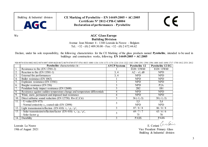

Building & Industrial division **CE Marking of Pyrobelite – EN 14449:2005 + AC:2005 Certificate N° 2812-CPR-CA0004 Declaration of performances** - **Pyrobelite** 

CE

We **AGC Glass Europe Building Division**  Avenue Jean Monnet 4 - 1348 Louvain-la-Neuve - Belgium Tel.: +32 - (0) 2 409.30.00 - Fax: +32 - (0) 2 672.44.62

Declare, under his sole responsibility, the following characteristics for the CE Marking of the glass products named **Pyrobelite**, intended to be used in buildings and construction works, following **EN 14449:2005 + AC:2005** 

NB 0074 0336 0402 0432 0474 0497 0589 0620 0672 0679 0749 0757 0761 0833 1080 1136 1154 1173 1174 1234 1314 1322 1343 1390 1391 1394 1396 1488 1643 1694 1717 1750 1812 2531 2812

|     | <b>Pyrobelite</b> characteristics in:                                        | <b>AVCP</b> Systems | <b>Pyrobelite 12</b> | <b>Pyrobelite 12 EG</b> |
|-----|------------------------------------------------------------------------------|---------------------|----------------------|-------------------------|
|     | Resistance to fire (EN 13501-2)                                              |                     | EI20 / EW60          | EI20 / EW60             |
| 2.  | Reaction to fire (EN 13501-1)                                                | 3, 4                | $A2 - s1$ , d0       | <b>NPD</b>              |
| 3.  | External fire performances                                                   | 3, 4                | <b>NPD</b>           | <b>NPD</b>              |
| 4.  | Bullet resistance (EN 1063)                                                  |                     | <b>NPD</b>           | <b>NPD</b>              |
| 5.  | Explosion resistance (EN 13541)                                              |                     | <b>NPD</b>           | <b>NPD</b>              |
| 6.  | Burglar resistance (EN 356)                                                  |                     | <b>NPD</b>           | P2A                     |
|     | Pendulum body impact resistance (EN 12600)                                   |                     | 2B2                  | 1B1                     |
| 8.  | Resistance against sudden temperature change and temperature differentials   | 4                   | <b>NPD</b>           | <b>NPD</b>              |
| 9.  | Wind, snow, permanent and imposed load resistance                            | 4                   | <b>NPD</b>           | <b>NPD</b>              |
| 10. | Direct airborne sound reduction (EN 12758): $Rw(C;Ctr)$                      | 3                   | $36(-1,-3)$          | $38(-1,-3)$             |
| 11. | $-$ U-value (EN 673)                                                         |                     | 5,5                  | 5,4                     |
|     | - Normal emissivity $\varepsilon_n$ coated side (EN 12898)                   |                     | <b>NPD</b>           | <b>NPD</b>              |
| 12. | Light transmission/reflection (EN 410): $\tau_{v}$ / $\rho_{v}$ / $\rho_{v}$ |                     | 87/8/8               | 86/8/8                  |
| 13. | - Solar transmission/reflection/factor (EN 410): $\tau_e / \rho_e / \rho_e$  |                     | 69/7/7               | 63/6/6                  |
|     | - Solar factor: g                                                            |                     | 75                   | 70                      |
| 14. | Durability                                                                   |                     | <b>PASS</b>          | <b>PASS</b>             |

Louvain La Neuve E. Ceriani Australia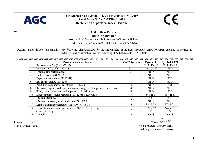

# CE

#### We **AGC Glass Europe Building Division**  Avenue Jean Monnet 4 - 1348 Louvain-la-Neuve - Belgium Tel.:  $+32 - (0) 2 409.30.00 - Fax$ :  $+32 - (0) 2 672.44.62$

Declare, under his sole responsibility, the following characteristics for the CE Marking of the glass products named **Pyrobel**, intended to be used in buildings and construction works, following **EN 14449:2005 + AC:2005** 

|  | NB 0074 0336 0402 0432 0474 0497 0589 0620 0672 0679 0749 0757 0761 0833 1080 1136 1154 1173 1174 1234 1314 1322 1343 1390 1391 1394 1396 1488 1643 1694 1717 1750 1812 2531 2812 |
|--|-----------------------------------------------------------------------------------------------------------------------------------------------------------------------------------|
|  |                                                                                                                                                                                   |
|  |                                                                                                                                                                                   |

|     | <b>Pyrobel</b> characteristics in:                                           | <b>AVCP</b> Systems | <b>Pyrobel 8</b> | <b>Pyrobel 8 EG</b> |
|-----|------------------------------------------------------------------------------|---------------------|------------------|---------------------|
| Ι.  | Resistance to fire (EN 13501-2)                                              |                     | EI15 / EW30      | EI15 / EW30         |
| 2.  | Reaction to fire (EN 13501-1)                                                | 3, 4                | $A2 - s1$ , d0   | <b>NPD</b>          |
| 3.  | External fire performances                                                   | 3, 4                | <b>NPD</b>       | <b>NPD</b>          |
| 4.  | Bullet resistance (EN 1063)                                                  |                     | <b>NPD</b>       | <b>NPD</b>          |
| 5.  | Explosion resistance (EN 13541)                                              |                     | <b>NPD</b>       | <b>NPD</b>          |
| 6.  | Burglar resistance (EN 356)                                                  |                     | <b>NPD</b>       | <b>NPD</b>          |
| 7.  | Pendulum body impact resistance (EN 12600)                                   |                     | <b>NPD</b>       | 1B1                 |
| 8.  | Resistance against sudden temperature change and temperature differentials   |                     | <b>NPD</b>       | <b>NPD</b>          |
| 9.  | Wind, snow, permanent and imposed load resistance                            |                     | <b>NPD</b>       | <b>NPD</b>          |
| 10. | Direct airborne sound reduction (EN 12758): Rw (C;Ctr)                       |                     | $34(-1,-3)$      | $36(-1,-3)$         |
| 11. | - U-value (EN $673$ )                                                        |                     | 5,6              | 5,5                 |
|     | - Normal emissivity $\varepsilon_n$ coated side (EN 12898)                   |                     | <b>NPD</b>       | <b>NPD</b>          |
| 12. | Light transmission/reflection (EN 410): $\tau_v / \rho_v / \rho_v$           |                     | 88/8/8           | 87/8/8              |
| 13. | - Solar transmission/reflection/factor (EN 410): $\tau_e / \rho_e / \rho'_e$ |                     | 72/7/7           | 66/7/7              |
|     | - Solar factor: g                                                            |                     | 77               | 72                  |
| 14. | Durability                                                                   |                     | <b>PASS</b>      | <b>PASS</b>         |

Louvain La Neuve E. Ceriani Croise Cartes

19th of August 2021 Vice President Primary Glass Building & Industrial division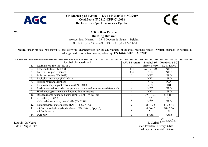

# CE

#### We **AGC Glass Europe Building Division**  Avenue Jean Monnet 4 - 1348 Louvain-la-Neuve - Belgium Tel.:  $+32 - (0) 2 409.30.00 - Fax$ :  $+32 - (0) 2 672.44.62$

Declare, under his sole responsibility, the following characteristics for the CE Marking of the glass products named **Pyrobel**, intended to be used in buildings and construction works, following **EN 14449:2005 + AC:2005** 

| NB 0074 0336 0402 0432 0474 0497 0589 0620 0672 0679 0749 0757 0761 0833 1080 1136 1154 1173 1174 1234 1314 1322 1343 1390 1391 1394 1396 1488 1643 1694 1717 1750 1812 2531 2812 |                     |                          |  |
|-----------------------------------------------------------------------------------------------------------------------------------------------------------------------------------|---------------------|--------------------------|--|
| <b>Pyrobel</b> characteristics in :                                                                                                                                               | <b>AVCP</b> Systems | Pyrobel 16 Pyrobel 16 EG |  |

|                  | <b>Pyrobel</b> characteristics in:                                          | <b>AVCP</b> Systems | <b>Pyrobel 16</b> | Pyrobel 16 EG        |
|------------------|-----------------------------------------------------------------------------|---------------------|-------------------|----------------------|
| Ι.               | Resistance to fire (EN 13501-2)                                             |                     | EI30 / EW60       | EI30 / EW60          |
| 2.               | Reaction to fire (EN 13501-1)                                               | 3, 4                | $A2 - s1$ , d0    | <b>NPD</b>           |
| 3.               | External fire performances                                                  | 3, 4                | <b>NPD</b>        | <b>NPD</b>           |
| $\overline{4}$ . | Bullet resistance (EN 1063)                                                 |                     | <b>NPD</b>        | <b>NPD</b>           |
| 5.               | Explosion resistance (EN 13541)                                             |                     | <b>NPD</b>        | <b>NPD</b>           |
| 6.               | Burglar resistance (EN 356)                                                 |                     | <b>NPD</b>        | P <sub>2</sub> A     |
| 7.               | Pendulum body impact resistance (EN 12600)                                  |                     | 2B2               | 1B1                  |
| 8.               | Resistance against sudden temperature change and temperature differentials  |                     | <b>NPD</b>        | <b>NPD</b>           |
| 9.               | Wind, snow, permanent and imposed load resistance                           |                     | <b>NPD</b>        | <b>NPD</b>           |
| 10.              | Direct airborne sound reduction (EN 12758): $Rw(C, Ctr)$                    | 3                   | $39(-1,-3)$       | $39(-1,-3)$          |
| 11.              | $-U$ -value (EN 673)                                                        | 3                   | 5,3               | 5,3                  |
|                  | - Normal emissivity $\varepsilon_n$ coated side (EN 12898)                  |                     | <b>NPD</b>        | <b>NPD</b>           |
| 12.              | Light transmission/reflection (EN 410): $\tau_v / \rho_v / \rho_v$          | 3                   | 85/8/8            | 84/8/8               |
| 13.              | - Solar transmission/reflection/factor (EN 410): $\tau_e / \rho_e / \rho_e$ | 3                   | 64/6/6            | 60/6/6               |
|                  | - Solar factor: g                                                           |                     | 71                | 68                   |
| 14.              | Durability                                                                  | 3                   | <b>PASS</b>       | PASS                 |
| Louvain La Neuve |                                                                             |                     |                   | E. Ceriani Cura Cent |

19th of August 2021 Vice President Primary Glass Building & Industrial division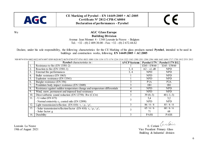

# CE

#### We **AGC Glass Europe Building Division**  Avenue Jean Monnet 4 - 1348 Louvain-la-Neuve - Belgium Tel.:  $+32 - (0) 2 409.30.00 - Fax$ :  $+32 - (0) 2 672.44.62$

Declare, under his sole responsibility, the following characteristics for the CE Marking of the glass products named **Pyrobel**, intended to be used in buildings and construction works, following **EN 14449:2005 + AC:2005** 

|     | <b>Pyrobel</b> characteristics in:                                           | <b>AVCP</b> Systems | Pyrobel $17N$  | Pyrobel 17N EG |
|-----|------------------------------------------------------------------------------|---------------------|----------------|----------------|
|     | Resistance to fire (EN 13501-2)                                              |                     | EI45 / EW60    | EI45 / EW60    |
| 2.  | Reaction to fire (EN 13501-1)                                                | 3, 4                | $A2 - s1$ , d0 | <b>NPD</b>     |
| 3.  | External fire performances                                                   | 3, 4                | <b>NPD</b>     | <b>NPD</b>     |
| 4.  | Bullet resistance (EN 1063)                                                  |                     | <b>NPD</b>     | <b>NPD</b>     |
| 5.  | Explosion resistance (EN 13541)                                              |                     | <b>NPD</b>     | <b>NPD</b>     |
| 6.  | Burglar resistance (EN 356)                                                  |                     | P1A            | P2A            |
|     | Pendulum body impact resistance (EN 12600)                                   |                     | 1B1            | 1B1            |
| 8.  | Resistance against sudden temperature change and temperature differentials   | 4                   | <b>NPD</b>     | <b>NPD</b>     |
| 9.  | Wind, snow, permanent and imposed load resistance                            | 4                   | <b>NPD</b>     | <b>NPD</b>     |
| 10. | Direct airborne sound reduction (EN 12758): $Rw(C;Ctr)$                      |                     | $39(0,-3)$     | 40 $(-1,-3)$   |
| 11. | - U-value (EN $673$ )                                                        |                     | 5,4            | 5,2            |
|     | - Normal emissivity $\varepsilon_n$ coated side (EN 12898)                   |                     | <b>NPD</b>     | <b>NPD</b>     |
| 12. | Light transmission/reflection (EN 410): $\tau_v / \rho_v / \rho_v'$          |                     | 86/8/8         | 85/8/8         |
| 13. | - Solar transmission/reflection/factor (EN 410): $\tau_e / \rho_e / \rho_e'$ | 3                   | 65/6/6         | 60/6/6         |
|     | - Solar factor: g                                                            |                     | 71             | 68             |
| 14. | Durability                                                                   |                     | <b>PASS</b>    | <b>PASS</b>    |

NB 0074 0336 0402 0432 0474 0497 0589 0620 0672 0679 0749 0757 0761 0833 1080 1136 1154 1173 1174 1234 1314 1322 1343 1390 1391 1394 1396 1488 1643 1694 1717 1750 1812 2531 2812

Louvain La Neuve E. Ceriani Australia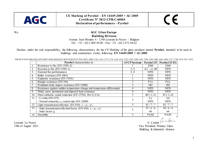

# CE

#### We **AGC Glass Europe Building Division**  Avenue Jean Monnet 4 - 1348 Louvain-la-Neuve - Belgium Tel.:  $+32 - (0) 2 409.30.00 - Fax$ :  $+32 - (0) 2 672.44.62$

Declare, under his sole responsibility, the following characteristics for the CE Marking of the glass products named **Pyrobel**, intended to be used in buildings and construction works, following **EN 14449:2005 + AC:2005** 

|                                           | Pyrobel characteristics in:                                                 | <b>AVCP Systems</b> | Pyrobel 25      | Pyrobel 25 EG    |
|-------------------------------------------|-----------------------------------------------------------------------------|---------------------|-----------------|------------------|
| -1.                                       | Resistance to fire (EN 13501-2)                                             |                     | EI60            | EI60             |
| $\overline{2}$ .                          | Reaction to fire (EN 13501-1)                                               | 3, 4                | $A2 - s1$ , d0  | <b>NPD</b>       |
| 3.                                        | External fire performances                                                  | 3, 4                | <b>NPD</b>      | <b>NPD</b>       |
| $\overline{4}$ .                          | Bullet resistance (EN 1063)                                                 |                     | <b>NPD</b>      | <b>NPD</b>       |
| 5.                                        | Explosion resistance (EN 13541)                                             |                     | <b>NPD</b>      | <b>NPD</b>       |
| 6.                                        | Burglar resistance (EN 356)                                                 | 3                   | P1A             | P <sub>2</sub> A |
| 7.                                        | Pendulum body impact resistance (EN 12600)                                  |                     | 1B1             | 1B1              |
| 8.                                        | Resistance against sudden temperature change and temperature differentials  |                     | <b>NPD</b>      | <b>NPD</b>       |
| 9.                                        | Wind, snow, permanent and imposed load resistance                           | 4                   | <b>NPD</b>      | <b>NPD</b>       |
| 10.                                       | Direct airborne sound reduction (EN 12758): $Rw(C;Ctr)$                     | 3                   | 40 $(-1,-3)$    | 43 $(-1,-4)$     |
| 11.                                       | - U-value (EN $673$ )                                                       | 3                   | 5,1             | 5,0              |
|                                           | - Normal emissivity $\varepsilon_n$ coated side (EN 12898)                  |                     | <b>NPD</b>      | <b>NPD</b>       |
| 12.                                       | Light transmission/reflection (EN 410): $\tau_v / \rho_v / \rho'_v$         | 3                   | 82/7/7          | 82/7/7           |
| 13.                                       | - Solar transmission/reflection/factor (EN 410): $\tau_e / \rho_e / \rho_e$ | 3                   | $\frac{57}{66}$ | 54/6/6           |
|                                           | - Solar factor: g                                                           |                     | 66              | 64               |
| 14.                                       | Durability                                                                  | 3                   | <b>PASS</b>     | <b>PASS</b>      |
| E. Ceriani Cura Cerin<br>Louvain La Neuve |                                                                             |                     |                 |                  |

NB 0074 0336 0402 0432 0474 0497 0589 0620 0672 0679 0749 0757 0761 0833 1080 1136 1154 1173 1174 1234 1314 1322 1343 1390 1391 1394 1396 1488 1643 1694 1717 1750 1812 2531 2812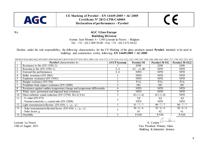

# CE

#### We **AGC Glass Europe Building Division**  Avenue Jean Monnet 4 - 1348 Louvain-la-Neuve - Belgium Tel.: +32 - (0) 2 409.30.00 - Fax: +32 - (0) 2 672.44.62

Declare, under his sole responsibility, the following characteristics for the CE Marking of the glass products named **Pyrobel**, intended to be used in buildings and construction works, following **EN 14449:2005 + AC:2005** 

|                   | <b>Pyrobel</b> characteristics in:                                           | <b>AVCP</b> Systems | <b>Pyrobel 30</b> | <b>Pyrobel 30 EG</b> | Pyrobel 30 EG2   |
|-------------------|------------------------------------------------------------------------------|---------------------|-------------------|----------------------|------------------|
|                   | Resistance to fire (EN 13501-2)                                              |                     | EI90              | EI90                 | EI90             |
| 2.                | Reaction to fire (EN 13501-1)                                                | 3, 4                | $A2 - s1$ , d0    | <b>NPD</b>           | <b>NPD</b>       |
| 3.                | External fire performances                                                   | 3, 4                | <b>NPD</b>        | <b>NPD</b>           | <b>NPD</b>       |
| 4.                | Bullet resistance (EN 1063)                                                  |                     | <b>NPD</b>        | <b>NPD</b>           | <b>NPD</b>       |
| 5.                | Explosion resistance (EN 13541)                                              |                     | <b>NPD</b>        | <b>NPD</b>           | <b>NPD</b>       |
| 6.                | Burglar resistance (EN 356)                                                  |                     | P1A               | P2A                  | P <sub>2</sub> A |
|                   | Pendulum body impact resistance (EN 12600)                                   |                     | 1B1               | 1B1                  | 1B1              |
| 8.                | Resistance against sudden temperature change and temperature differentials   |                     | <b>NPD</b>        | <b>NPD</b>           | <b>NPD</b>       |
| 9.                | Wind, snow, permanent and imposed load resistance                            |                     | <b>NPD</b>        | NPD                  | <b>NPD</b>       |
| 10.               | Direct airborne sound reduction (EN 12758): $Rw(C;Ctr)$                      |                     | 42 $(-1,-4)$      | 43 $(-1,-4)$         | <b>NPD</b>       |
| $\overline{11}$ . | - U-value ( $EN 673$ )                                                       |                     | 5,0               | 4,8                  | 4,8              |
|                   | - Normal emissivity $\varepsilon_n$ coated side (EN 12898)                   |                     | <b>NPD</b>        | <b>NPD</b>           | <b>NPD</b>       |
| $1\overline{2}$ . | Light transmission/reflection (EN 410): $\tau_v / \rho_v / \rho_v'$          |                     | 81/7/7            | 80/7/7               | 80/7/7           |
| 13.               | - Solar transmission/reflection/factor (EN 410): $\tau_e / \rho_e / \rho'_e$ |                     | 56/6/6            | 52/6/6               | 50/6/6           |
|                   | - Solar factor: g                                                            |                     | 65                | 62                   | 61               |
| 14.               | Durability                                                                   |                     | <b>PASS</b>       | <b>PASS</b>          | <b>PASS</b>      |

NB 0074 0336 0402 0432 0474 0497 0589 0620 0672 0670 0740 0757 0761 0833 1080 1136 1154 1173 1174 1234 1314 1322 1343 1300 1301 1304 1306 1408 1643 1604 1717 1750 1812 2531 2812

Louvain La Neuve E. Ceriani Australia

19th of August 2021 Vice President Primary Glass Building & Industrial division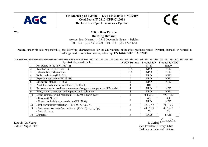

# CE

#### We **AGC Glass Europe Building Division**  Avenue Jean Monnet 4 - 1348 Louvain-la-Neuve - Belgium Tel.: +32 - (0) 2 409.30.00 - Fax: +32 - (0) 2 672.44.62

Declare, under his sole responsibility, the following characteristics for the CE Marking of the glass products named **Pyrobel**, intended to be used in buildings and construction works, following **EN 14449:2005 + AC:2005** 

|                  | <b>Pyrobel</b> characteristics in:                                          | <b>AVCP Systems</b> |                | Pyrobel 53N   Pyrobel 53N EG |
|------------------|-----------------------------------------------------------------------------|---------------------|----------------|------------------------------|
| 1.               | Resistance to fire (EN 13501-2)                                             |                     | EI120          | EI120                        |
| 2.               | Reaction to fire (EN 13501-1)                                               | 3, 4                | <b>NPD</b>     | <b>NPD</b>                   |
| 3 <sub>1</sub>   | External fire performances                                                  | 3, 4                | <b>NPD</b>     | <b>NPD</b>                   |
| 4.               | Bullet resistance (EN 1063)                                                 |                     | <b>NPD</b>     | <b>NPD</b>                   |
| $\overline{5}$ . | Explosion resistance (EN 13541)                                             |                     | <b>NPD</b>     | <b>NPD</b>                   |
| 6.               | Burglar resistance (EN 356)                                                 |                     | <b>NPD</b>     | <b>NPD</b>                   |
| 7.               | Pendulum body impact resistance (EN 12600)                                  |                     | 1B1            | 1B1                          |
| 8.               | Resistance against sudden temperature change and temperature differentials  |                     | <b>NPD</b>     | <b>NPD</b>                   |
| 9.               | Wind, snow, permanent and imposed load resistance                           |                     | <b>NPD</b>     | <b>NPD</b>                   |
| 10.              | Direct airborne sound reduction (EN 12758): $Rw(C;Ctr)$                     |                     | 48 $(-2,-7)$   | 49 $(-1,-6)$                 |
| 11.              | $-$ U-value (EN 673)                                                        |                     | 4,5            | 4,4                          |
|                  | - Normal emissivity $\varepsilon_n$ coated side (EN 12898)                  |                     | <b>NPD</b>     | <b>NPD</b>                   |
| 12.              | Light transmission/reflection (EN 410): $\tau_v / \rho_v / \rho_v$          |                     | 75/7/7         | $73/7/\overline{7}$          |
| 13.              | - Solar transmission/reflection/factor (EN 410): $\tau_e / \rho_e / \rho_e$ |                     | $\frac{43}{5}$ | 40/5/5                       |
|                  | - Solar factor: g                                                           |                     | 55             | 53                           |
| 14.              | Durability                                                                  |                     | <b>PASS</b>    | <b>PASS</b>                  |

NB 0074 0336 0402 0432 0474 0497 0589 0620 0672 0679 0749 0757 0761 0833 1080 1136 1154 1173 1174 1234 1314 1322 1343 1390 1391 1394 1396 1488 1643 1694 1717 1750 1812 2531 2812

Louvain La Neuve E. Ceriani Australia

19th of August 2021 Vice President Primary Glass Building & Industrial division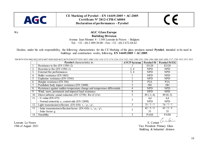

# CE

#### We **AGC Glass Europe Building Division**  Avenue Jean Monnet 4 - 1348 Louvain-la-Neuve - Belgium Tel.:  $+32 - (0) 2 409.30.00 - Fax$ :  $+32 - (0) 2 672.44.62$

Declare, under his sole responsibility, the following characteristics for the CE Marking of the glass products named **Pyrobel**, intended to be used in buildings and construction works, following **EN 14449:2005 + AC:2005** 

|                  | <b>Pyrobel</b> characteristics in:                                           | <b>AVCP</b> Systems | <b>Pyrobel 54</b> | Pyrobel 54 EG        |
|------------------|------------------------------------------------------------------------------|---------------------|-------------------|----------------------|
| 1.               | Resistance to fire (EN 13501-2)                                              |                     | EI120             | EI120                |
| 2.               | Reaction to fire (EN 13501-1)                                                | 3, 4                | <b>NPD</b>        | <b>NPD</b>           |
| 3.               | External fire performances                                                   | 3, 4                | <b>NPD</b>        | <b>NPD</b>           |
| $\overline{4}$ . | Bullet resistance (EN 1063)                                                  |                     | <b>NPD</b>        | <b>NPD</b>           |
| 5.               | Explosion resistance (EN 13541)                                              |                     | <b>NPD</b>        | <b>NPD</b>           |
| 6.               | Burglar resistance (EN 356)                                                  |                     | P <sub>2</sub> A  | P <sub>2</sub> A     |
|                  | Pendulum body impact resistance (EN 12600)                                   |                     | 1B1               | 1B1                  |
| 8.               | Resistance against sudden temperature change and temperature differentials   | 4                   | <b>NPD</b>        | <b>NPD</b>           |
| 9.               | Wind, snow, permanent and imposed load resistance                            | 4                   | <b>NPD</b>        | <b>NPD</b>           |
| 10.              | Direct airborne sound reduction (EN 12758): $Rw(C;Ctr)$                      | 3                   | 49 $(-1,-4)$      | 49 $(0,-3)$          |
| 11.              | - U-value (EN $673$ )                                                        | 3                   | 4,4               | 4,4                  |
|                  | - Normal emissivity $\varepsilon_n$ coated side (EN 12898)                   |                     | <b>NPD</b>        | <b>NPD</b>           |
| 12.              | Light transmission/reflection (EN 410): $\tau_v / \rho_v / \rho'_v$          | 3                   | 75/7/7            | 74/7/7               |
| 13.              | - Solar transmission/reflection/factor (EN 410): $\tau_e / \rho_e / \rho'_e$ | 3                   | 42/5/5            | 43/5/5               |
|                  | - Solar factor: g                                                            |                     | 55                | 55                   |
| 14.              | Durability                                                                   | 3                   | <b>PASS</b>       | <b>PASS</b>          |
|                  |                                                                              |                     |                   | E. Ceriani Curcelain |
| Louvain La Neuve |                                                                              |                     |                   |                      |

NB 0074 0336 0402 0432 0474 0497 0589 0620 0672 0679 0749 0757 0761 0833 1080 1136 1154 1173 1174 1234 1314 1322 1343 1390 1391 1394 1396 1488 1643 1694 1717 1750 1812 2531 2812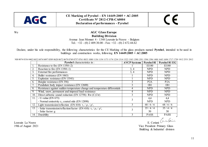

# CE

#### We **AGC Glass Europe Building Division**  Avenue Jean Monnet 4 - 1348 Louvain-la-Neuve - Belgium Tel.:  $+32 - (0) 2 409.30.00 - Fax$ :  $+32 - (0) 2 672.44.62$

Declare, under his sole responsibility, the following characteristics for the CE Marking of the glass products named **Pyrobel**, intended to be used in buildings and construction works, following **EN 14449:2005 + AC:2005** 

|                  | <b>Pyrobel</b> characteristics in:                                           | <b>AVCP</b> Systems | Pyrobel 81       | Pyrobel 81 EG                                |
|------------------|------------------------------------------------------------------------------|---------------------|------------------|----------------------------------------------|
| $\perp$ .        | Resistance to fire (EN 13501-2)                                              |                     | EI180            | EI180                                        |
| 2.               | Reaction to fire (EN 13501-1)                                                | 3, 4                | <b>NPD</b>       | <b>NPD</b>                                   |
| $\overline{3}$ . | External fire performances                                                   | 3, 4                | <b>NPD</b>       | <b>NPD</b>                                   |
| $\overline{4}$ . | Bullet resistance (EN 1063)                                                  |                     | <b>NPD</b>       | <b>NPD</b>                                   |
| 5.               | Explosion resistance (EN 13541)                                              |                     | <b>NPD</b>       | <b>NPD</b>                                   |
| 6.               | Burglar resistance (EN 356)                                                  |                     | P <sub>2</sub> A | P <sub>2</sub> A                             |
|                  | Pendulum body impact resistance (EN 12600)                                   |                     | 1B1              | 1B1                                          |
| 8.               | Resistance against sudden temperature change and temperature differentials   |                     | <b>NPD</b>       | <b>NPD</b>                                   |
| 9.               | Wind, snow, permanent and imposed load resistance                            | 4                   | <b>NPD</b>       | <b>NPD</b>                                   |
| 10.              | Direct airborne sound reduction (EN 12758): $Rw(C;Ctr)$                      | 3                   | <b>NPD</b>       | <b>NPD</b>                                   |
| 11.              | - U-value (EN $673$ )                                                        | 3                   | 4,4              | 4,4                                          |
|                  | - Normal emissivity $\varepsilon_n$ coated side (EN 12898)                   |                     | <b>NPD</b>       | <b>NPD</b>                                   |
| 12.              | Light transmission/reflection (EN 410): $\tau_v / \rho_v / \rho'_v$          |                     | 68/6/6           | 68/6/6                                       |
| 13.              | - Solar transmission/reflection/factor (EN 410): $\tau_e / \rho_e / \rho'_e$ | 3                   | 35/4/4           | 35/4/4                                       |
|                  | - Solar factor: g                                                            |                     | 50               | 50                                           |
| 14.              | Durability                                                                   | 3                   |                  |                                              |
|                  |                                                                              |                     |                  | PASS PASS<br>E. Ceriani <i>C</i> urce Center |
| Louvain La Neuve |                                                                              |                     |                  |                                              |

NB 0074 0336 0402 0432 0474 0497 0589 0620 0672 0679 0749 0757 0761 0833 1080 1136 1154 1173 1174 1234 1314 1322 1343 1390 1391 1394 1396 1488 1643 1694 1717 1750 1812 2531 2812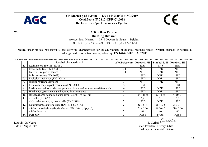

# CE

#### We **AGC Glass Europe Building Division**  Avenue Jean Monnet 4 - 1348 Louvain-la-Neuve - Belgium Tel.:  $+32 - (0) 2 409.30.00 - Fax$ :  $+32 - (0) 2 672.44.62$

Declare, under his sole responsibility, the following characteristics for the CE Marking of the glass products named **Pyrobel**, intended to be used in buildings and construction works, following **EN 14449:2005 + AC:2005** 

|                  | <b>Pyrobel</b> characteristics in:                                          | <b>AVCP</b> Systems | Pyrobel 19H | Pyrobel 23H | Pyrobel 28H    |
|------------------|-----------------------------------------------------------------------------|---------------------|-------------|-------------|----------------|
|                  | Resistance to fire (EN 13501-2)                                             |                     | EI30        | EI45        | EI60           |
| 2.               | Reaction to fire (EN 13501-1)                                               | 3, 4                | <b>NPD</b>  | <b>NPD</b>  | <b>NPD</b>     |
| 3.               | External fire performances                                                  | 3, 4                | <b>NPD</b>  | <b>NPD</b>  | <b>NPD</b>     |
| 4.               | Bullet resistance (EN 1063)                                                 |                     | <b>NPD</b>  | <b>NPD</b>  | <b>NPD</b>     |
|                  | Explosion resistance (EN 13541)                                             |                     | <b>NPD</b>  | <b>NPD</b>  | <b>NPD</b>     |
| $\mathfrak{b}$ . | Burglar resistance (EN 356)                                                 |                     | <b>NPD</b>  | <b>NPD</b>  | <b>NPD</b>     |
|                  | Pendulum body impact resistance (EN 12600)                                  |                     | 1B1         | 1B1         | 1B1            |
| 8.               | Resistance against sudden temperature change and temperature differentials  |                     | <b>NPD</b>  | <b>NPD</b>  | <b>NPD</b>     |
| 9.               | Wind, snow, permanent and imposed load resistance                           |                     | <b>NPD</b>  | NPD         | NPD.           |
| 10.              | Direct airborne sound reduction (EN 12758): $Rw(C;Ctr)$                     |                     | $38(-1,-3)$ | $39(0,-3)$  | 41 $(0,-3)$    |
| 11.              | $-$ U-value (EN 673)                                                        |                     | 5,2         | 5.1         | 5,0            |
|                  | - Normal emissivity $\varepsilon_n$ coated side (EN 12898)                  |                     | <b>NPD</b>  | <b>NPD</b>  | <b>NPD</b>     |
| 12.              | Light transmission/reflection (EN 410): $\tau_v / \rho_v / \rho_v$          |                     | 85/8/8      | 83/8/8      | 78/7/7         |
| 13.              | - Solar transmission/reflection/factor (EN 410): $\tau_e / \rho_e / \rho_e$ |                     | 61/6/6      | 57/6/6      | $\frac{50}{6}$ |
|                  | - Solar factor: g                                                           |                     | 68          | 66          | 60             |
| 14.              | Durability                                                                  |                     | <b>PASS</b> | <b>PASS</b> | <b>PASS</b>    |

NB 0074 0336 0402 0432 0474 0497 0589 0620 0672 0679 0749 0757 0761 0833 1080 1136 1154 1173 1174 1234 1314 1322 1343 1390 1391 1394 1396 1488 1643 1694 1717 1750 1812 2531 2812

Louvain La Neuve E. Ceriani Cinclerin

19th of August 2021 Vice President Primary Glass Building & Industrial division